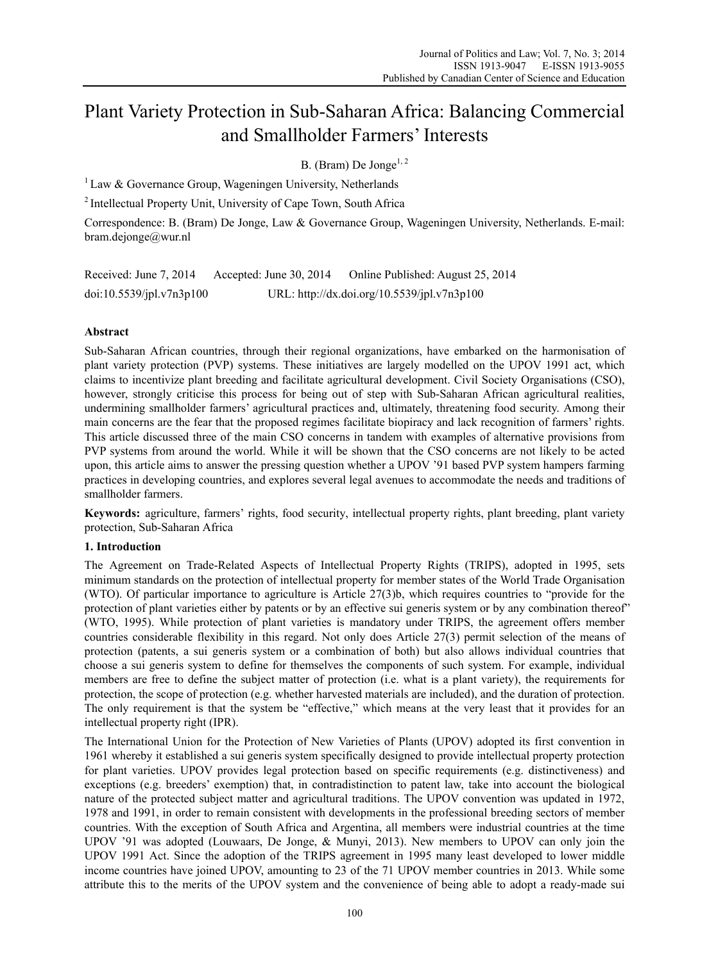# Plant Variety Protection in Sub-Saharan Africa: Balancing Commercial and Smallholder Farmers' Interests

B. (Bram) De Jonge<sup>1, 2</sup>

 $1$  Law & Governance Group, Wageningen University, Netherlands

2 Intellectual Property Unit, University of Cape Town, South Africa

Correspondence: B. (Bram) De Jonge, Law & Governance Group, Wageningen University, Netherlands. E-mail: bram.dejonge@wur.nl

| Received: June 7, 2014   | Accepted: June $30, 2014$ | Online Published: August 25, 2014           |
|--------------------------|---------------------------|---------------------------------------------|
| doi:10.5539/jpl.v7n3p100 |                           | URL: http://dx.doi.org/10.5539/jpl.v7n3p100 |

# **Abstract**

Sub-Saharan African countries, through their regional organizations, have embarked on the harmonisation of plant variety protection (PVP) systems. These initiatives are largely modelled on the UPOV 1991 act, which claims to incentivize plant breeding and facilitate agricultural development. Civil Society Organisations (CSO), however, strongly criticise this process for being out of step with Sub-Saharan African agricultural realities, undermining smallholder farmers' agricultural practices and, ultimately, threatening food security. Among their main concerns are the fear that the proposed regimes facilitate biopiracy and lack recognition of farmers' rights. This article discussed three of the main CSO concerns in tandem with examples of alternative provisions from PVP systems from around the world. While it will be shown that the CSO concerns are not likely to be acted upon, this article aims to answer the pressing question whether a UPOV '91 based PVP system hampers farming practices in developing countries, and explores several legal avenues to accommodate the needs and traditions of smallholder farmers.

**Keywords:** agriculture, farmers' rights, food security, intellectual property rights, plant breeding, plant variety protection, Sub-Saharan Africa

## **1. Introduction**

The Agreement on Trade-Related Aspects of Intellectual Property Rights (TRIPS), adopted in 1995, sets minimum standards on the protection of intellectual property for member states of the World Trade Organisation (WTO). Of particular importance to agriculture is Article 27(3)b, which requires countries to "provide for the protection of plant varieties either by patents or by an effective sui generis system or by any combination thereof" (WTO, 1995). While protection of plant varieties is mandatory under TRIPS, the agreement offers member countries considerable flexibility in this regard. Not only does Article 27(3) permit selection of the means of protection (patents, a sui generis system or a combination of both) but also allows individual countries that choose a sui generis system to define for themselves the components of such system. For example, individual members are free to define the subject matter of protection (i.e. what is a plant variety), the requirements for protection, the scope of protection (e.g. whether harvested materials are included), and the duration of protection. The only requirement is that the system be "effective," which means at the very least that it provides for an intellectual property right (IPR).

The International Union for the Protection of New Varieties of Plants (UPOV) adopted its first convention in 1961 whereby it established a sui generis system specifically designed to provide intellectual property protection for plant varieties. UPOV provides legal protection based on specific requirements (e.g. distinctiveness) and exceptions (e.g. breeders' exemption) that, in contradistinction to patent law, take into account the biological nature of the protected subject matter and agricultural traditions. The UPOV convention was updated in 1972, 1978 and 1991, in order to remain consistent with developments in the professional breeding sectors of member countries. With the exception of South Africa and Argentina, all members were industrial countries at the time UPOV '91 was adopted (Louwaars, De Jonge, & Munyi, 2013). New members to UPOV can only join the UPOV 1991 Act. Since the adoption of the TRIPS agreement in 1995 many least developed to lower middle income countries have joined UPOV, amounting to 23 of the 71 UPOV member countries in 2013. While some attribute this to the merits of the UPOV system and the convenience of being able to adopt a ready-made sui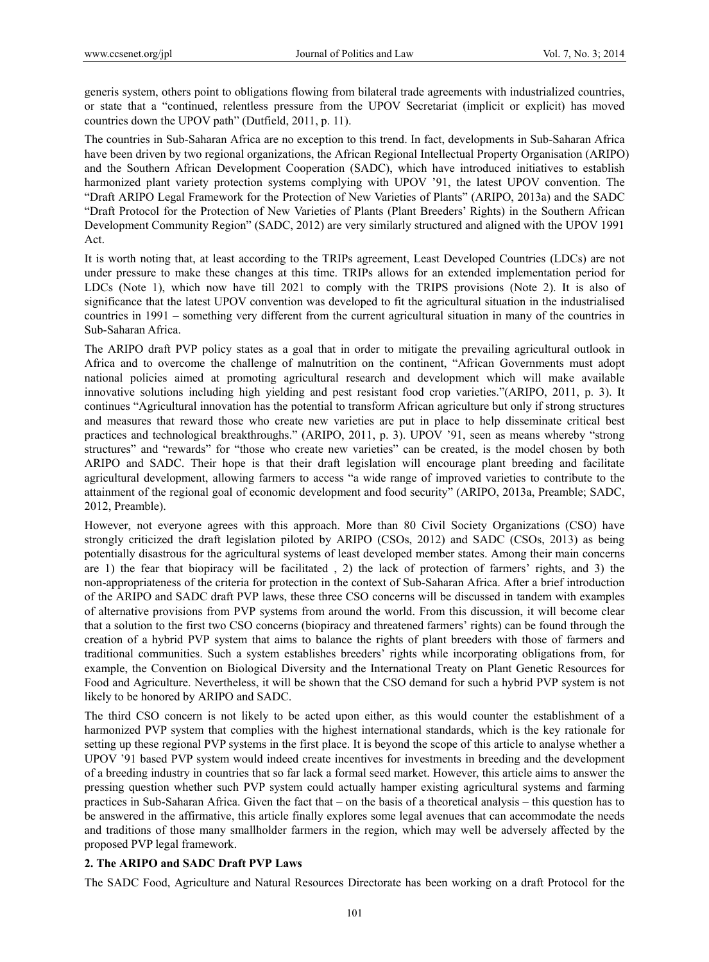generis system, others point to obligations flowing from bilateral trade agreements with industrialized countries, or state that a "continued, relentless pressure from the UPOV Secretariat (implicit or explicit) has moved countries down the UPOV path" (Dutfield, 2011, p. 11).

The countries in Sub-Saharan Africa are no exception to this trend. In fact, developments in Sub-Saharan Africa have been driven by two regional organizations, the African Regional Intellectual Property Organisation (ARIPO) and the Southern African Development Cooperation (SADC), which have introduced initiatives to establish harmonized plant variety protection systems complying with UPOV '91, the latest UPOV convention. The "Draft ARIPO Legal Framework for the Protection of New Varieties of Plants" (ARIPO, 2013a) and the SADC "Draft Protocol for the Protection of New Varieties of Plants (Plant Breeders' Rights) in the Southern African Development Community Region" (SADC, 2012) are very similarly structured and aligned with the UPOV 1991 Act.

It is worth noting that, at least according to the TRIPs agreement, Least Developed Countries (LDCs) are not under pressure to make these changes at this time. TRIPs allows for an extended implementation period for LDCs (Note 1), which now have till 2021 to comply with the TRIPS provisions (Note 2). It is also of significance that the latest UPOV convention was developed to fit the agricultural situation in the industrialised countries in 1991 – something very different from the current agricultural situation in many of the countries in Sub-Saharan Africa.

The ARIPO draft PVP policy states as a goal that in order to mitigate the prevailing agricultural outlook in Africa and to overcome the challenge of malnutrition on the continent, "African Governments must adopt national policies aimed at promoting agricultural research and development which will make available innovative solutions including high yielding and pest resistant food crop varieties."(ARIPO, 2011, p. 3). It continues "Agricultural innovation has the potential to transform African agriculture but only if strong structures and measures that reward those who create new varieties are put in place to help disseminate critical best practices and technological breakthroughs." (ARIPO, 2011, p. 3). UPOV '91, seen as means whereby "strong structures" and "rewards" for "those who create new varieties" can be created, is the model chosen by both ARIPO and SADC. Their hope is that their draft legislation will encourage plant breeding and facilitate agricultural development, allowing farmers to access "a wide range of improved varieties to contribute to the attainment of the regional goal of economic development and food security" (ARIPO, 2013a, Preamble; SADC, 2012, Preamble).

However, not everyone agrees with this approach. More than 80 Civil Society Organizations (CSO) have strongly criticized the draft legislation piloted by ARIPO (CSOs, 2012) and SADC (CSOs, 2013) as being potentially disastrous for the agricultural systems of least developed member states. Among their main concerns are 1) the fear that biopiracy will be facilitated , 2) the lack of protection of farmers' rights, and 3) the non-appropriateness of the criteria for protection in the context of Sub-Saharan Africa. After a brief introduction of the ARIPO and SADC draft PVP laws, these three CSO concerns will be discussed in tandem with examples of alternative provisions from PVP systems from around the world. From this discussion, it will become clear that a solution to the first two CSO concerns (biopiracy and threatened farmers' rights) can be found through the creation of a hybrid PVP system that aims to balance the rights of plant breeders with those of farmers and traditional communities. Such a system establishes breeders' rights while incorporating obligations from, for example, the Convention on Biological Diversity and the International Treaty on Plant Genetic Resources for Food and Agriculture. Nevertheless, it will be shown that the CSO demand for such a hybrid PVP system is not likely to be honored by ARIPO and SADC.

The third CSO concern is not likely to be acted upon either, as this would counter the establishment of a harmonized PVP system that complies with the highest international standards, which is the key rationale for setting up these regional PVP systems in the first place. It is beyond the scope of this article to analyse whether a UPOV '91 based PVP system would indeed create incentives for investments in breeding and the development of a breeding industry in countries that so far lack a formal seed market. However, this article aims to answer the pressing question whether such PVP system could actually hamper existing agricultural systems and farming practices in Sub-Saharan Africa. Given the fact that – on the basis of a theoretical analysis – this question has to be answered in the affirmative, this article finally explores some legal avenues that can accommodate the needs and traditions of those many smallholder farmers in the region, which may well be adversely affected by the proposed PVP legal framework.

## **2. The ARIPO and SADC Draft PVP Laws**

The SADC Food, Agriculture and Natural Resources Directorate has been working on a draft Protocol for the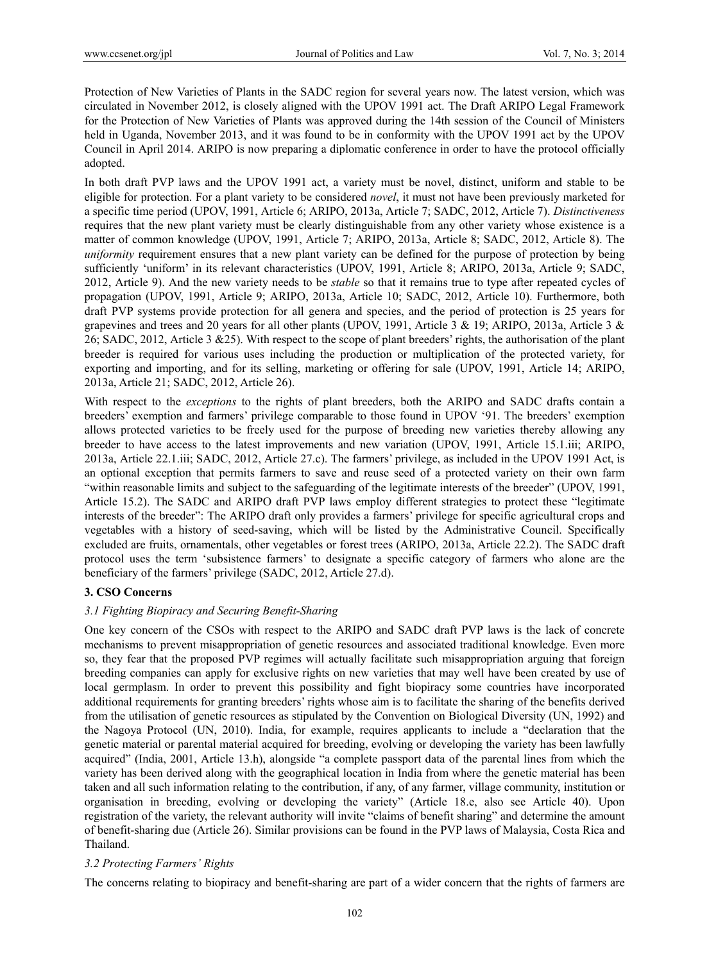Protection of New Varieties of Plants in the SADC region for several years now. The latest version, which was circulated in November 2012, is closely aligned with the UPOV 1991 act. The Draft ARIPO Legal Framework for the Protection of New Varieties of Plants was approved during the 14th session of the Council of Ministers held in Uganda, November 2013, and it was found to be in conformity with the UPOV 1991 act by the UPOV Council in April 2014. ARIPO is now preparing a diplomatic conference in order to have the protocol officially adopted.

In both draft PVP laws and the UPOV 1991 act, a variety must be novel, distinct, uniform and stable to be eligible for protection. For a plant variety to be considered *novel*, it must not have been previously marketed for a specific time period (UPOV, 1991, Article 6; ARIPO, 2013a, Article 7; SADC, 2012, Article 7). *Distinctiveness* requires that the new plant variety must be clearly distinguishable from any other variety whose existence is a matter of common knowledge (UPOV, 1991, Article 7; ARIPO, 2013a, Article 8; SADC, 2012, Article 8). The *uniformity* requirement ensures that a new plant variety can be defined for the purpose of protection by being sufficiently 'uniform' in its relevant characteristics (UPOV, 1991, Article 8; ARIPO, 2013a, Article 9; SADC, 2012, Article 9). And the new variety needs to be *stable* so that it remains true to type after repeated cycles of propagation (UPOV, 1991, Article 9; ARIPO, 2013a, Article 10; SADC, 2012, Article 10). Furthermore, both draft PVP systems provide protection for all genera and species, and the period of protection is 25 years for grapevines and trees and 20 years for all other plants (UPOV, 1991, Article 3 & 19; ARIPO, 2013a, Article 3 & 26; SADC, 2012, Article 3 &25). With respect to the scope of plant breeders' rights, the authorisation of the plant breeder is required for various uses including the production or multiplication of the protected variety, for exporting and importing, and for its selling, marketing or offering for sale (UPOV, 1991, Article 14; ARIPO, 2013a, Article 21; SADC, 2012, Article 26).

With respect to the *exceptions* to the rights of plant breeders, both the ARIPO and SADC drafts contain a breeders' exemption and farmers' privilege comparable to those found in UPOV '91. The breeders' exemption allows protected varieties to be freely used for the purpose of breeding new varieties thereby allowing any breeder to have access to the latest improvements and new variation (UPOV, 1991, Article 15.1.iii; ARIPO, 2013a, Article 22.1.iii; SADC, 2012, Article 27.c). The farmers' privilege, as included in the UPOV 1991 Act, is an optional exception that permits farmers to save and reuse seed of a protected variety on their own farm "within reasonable limits and subject to the safeguarding of the legitimate interests of the breeder" (UPOV, 1991, Article 15.2). The SADC and ARIPO draft PVP laws employ different strategies to protect these "legitimate interests of the breeder": The ARIPO draft only provides a farmers' privilege for specific agricultural crops and vegetables with a history of seed-saving, which will be listed by the Administrative Council. Specifically excluded are fruits, ornamentals, other vegetables or forest trees (ARIPO, 2013a, Article 22.2). The SADC draft protocol uses the term 'subsistence farmers' to designate a specific category of farmers who alone are the beneficiary of the farmers' privilege (SADC, 2012, Article 27.d).

## **3. CSO Concerns**

## *3.1 Fighting Biopiracy and Securing Benefit-Sharing*

One key concern of the CSOs with respect to the ARIPO and SADC draft PVP laws is the lack of concrete mechanisms to prevent misappropriation of genetic resources and associated traditional knowledge. Even more so, they fear that the proposed PVP regimes will actually facilitate such misappropriation arguing that foreign breeding companies can apply for exclusive rights on new varieties that may well have been created by use of local germplasm. In order to prevent this possibility and fight biopiracy some countries have incorporated additional requirements for granting breeders' rights whose aim is to facilitate the sharing of the benefits derived from the utilisation of genetic resources as stipulated by the Convention on Biological Diversity (UN, 1992) and the Nagoya Protocol (UN, 2010). India, for example, requires applicants to include a "declaration that the genetic material or parental material acquired for breeding, evolving or developing the variety has been lawfully acquired" (India, 2001, Article 13.h), alongside "a complete passport data of the parental lines from which the variety has been derived along with the geographical location in India from where the genetic material has been taken and all such information relating to the contribution, if any, of any farmer, village community, institution or organisation in breeding, evolving or developing the variety" (Article 18.e, also see Article 40). Upon registration of the variety, the relevant authority will invite "claims of benefit sharing" and determine the amount of benefit-sharing due (Article 26). Similar provisions can be found in the PVP laws of Malaysia, Costa Rica and Thailand.

## *3.2 Protecting Farmers' Rights*

The concerns relating to biopiracy and benefit-sharing are part of a wider concern that the rights of farmers are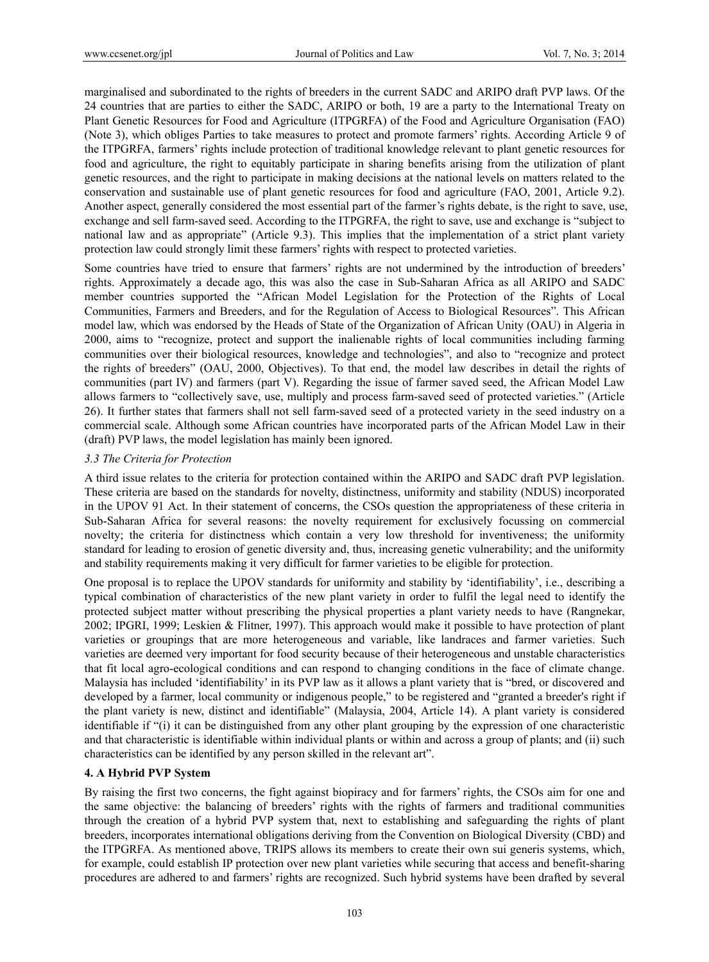marginalised and subordinated to the rights of breeders in the current SADC and ARIPO draft PVP laws. Of the 24 countries that are parties to either the SADC, ARIPO or both, 19 are a party to the International Treaty on Plant Genetic Resources for Food and Agriculture (ITPGRFA) of the Food and Agriculture Organisation (FAO) (Note 3), which obliges Parties to take measures to protect and promote farmers' rights. According Article 9 of the ITPGRFA, farmers' rights include protection of traditional knowledge relevant to plant genetic resources for food and agriculture, the right to equitably participate in sharing benefits arising from the utilization of plant genetic resources, and the right to participate in making decisions at the national levels on matters related to the conservation and sustainable use of plant genetic resources for food and agriculture (FAO, 2001, Article 9.2). Another aspect, generally considered the most essential part of the farmer's rights debate, is the right to save, use, exchange and sell farm-saved seed. According to the ITPGRFA, the right to save, use and exchange is "subject to national law and as appropriate" (Article 9.3). This implies that the implementation of a strict plant variety protection law could strongly limit these farmers' rights with respect to protected varieties.

Some countries have tried to ensure that farmers' rights are not undermined by the introduction of breeders' rights. Approximately a decade ago, this was also the case in Sub-Saharan Africa as all ARIPO and SADC member countries supported the "African Model Legislation for the Protection of the Rights of Local Communities, Farmers and Breeders, and for the Regulation of Access to Biological Resources". This African model law, which was endorsed by the Heads of State of the Organization of African Unity (OAU) in Algeria in 2000, aims to "recognize, protect and support the inalienable rights of local communities including farming communities over their biological resources, knowledge and technologies", and also to "recognize and protect the rights of breeders" (OAU, 2000, Objectives). To that end, the model law describes in detail the rights of communities (part IV) and farmers (part V). Regarding the issue of farmer saved seed, the African Model Law allows farmers to "collectively save, use, multiply and process farm-saved seed of protected varieties." (Article 26). It further states that farmers shall not sell farm-saved seed of a protected variety in the seed industry on a commercial scale. Although some African countries have incorporated parts of the African Model Law in their (draft) PVP laws, the model legislation has mainly been ignored.

## *3.3 The Criteria for Protection*

A third issue relates to the criteria for protection contained within the ARIPO and SADC draft PVP legislation. These criteria are based on the standards for novelty, distinctness, uniformity and stability (NDUS) incorporated in the UPOV 91 Act. In their statement of concerns, the CSOs question the appropriateness of these criteria in Sub-Saharan Africa for several reasons: the novelty requirement for exclusively focussing on commercial novelty; the criteria for distinctness which contain a very low threshold for inventiveness; the uniformity standard for leading to erosion of genetic diversity and, thus, increasing genetic vulnerability; and the uniformity and stability requirements making it very difficult for farmer varieties to be eligible for protection.

One proposal is to replace the UPOV standards for uniformity and stability by 'identifiability', i.e., describing a typical combination of characteristics of the new plant variety in order to fulfil the legal need to identify the protected subject matter without prescribing the physical properties a plant variety needs to have (Rangnekar, 2002; IPGRI, 1999; Leskien & Flitner, 1997). This approach would make it possible to have protection of plant varieties or groupings that are more heterogeneous and variable, like landraces and farmer varieties. Such varieties are deemed very important for food security because of their heterogeneous and unstable characteristics that fit local agro-ecological conditions and can respond to changing conditions in the face of climate change. Malaysia has included 'identifiability' in its PVP law as it allows a plant variety that is "bred, or discovered and developed by a farmer, local community or indigenous people," to be registered and "granted a breeder's right if the plant variety is new, distinct and identifiable" (Malaysia, 2004, Article 14). A plant variety is considered identifiable if "(i) it can be distinguished from any other plant grouping by the expression of one characteristic and that characteristic is identifiable within individual plants or within and across a group of plants; and (ii) such characteristics can be identified by any person skilled in the relevant art".

## **4. A Hybrid PVP System**

By raising the first two concerns, the fight against biopiracy and for farmers' rights, the CSOs aim for one and the same objective: the balancing of breeders' rights with the rights of farmers and traditional communities through the creation of a hybrid PVP system that, next to establishing and safeguarding the rights of plant breeders, incorporates international obligations deriving from the Convention on Biological Diversity (CBD) and the ITPGRFA. As mentioned above, TRIPS allows its members to create their own sui generis systems, which, for example, could establish IP protection over new plant varieties while securing that access and benefit-sharing procedures are adhered to and farmers' rights are recognized. Such hybrid systems have been drafted by several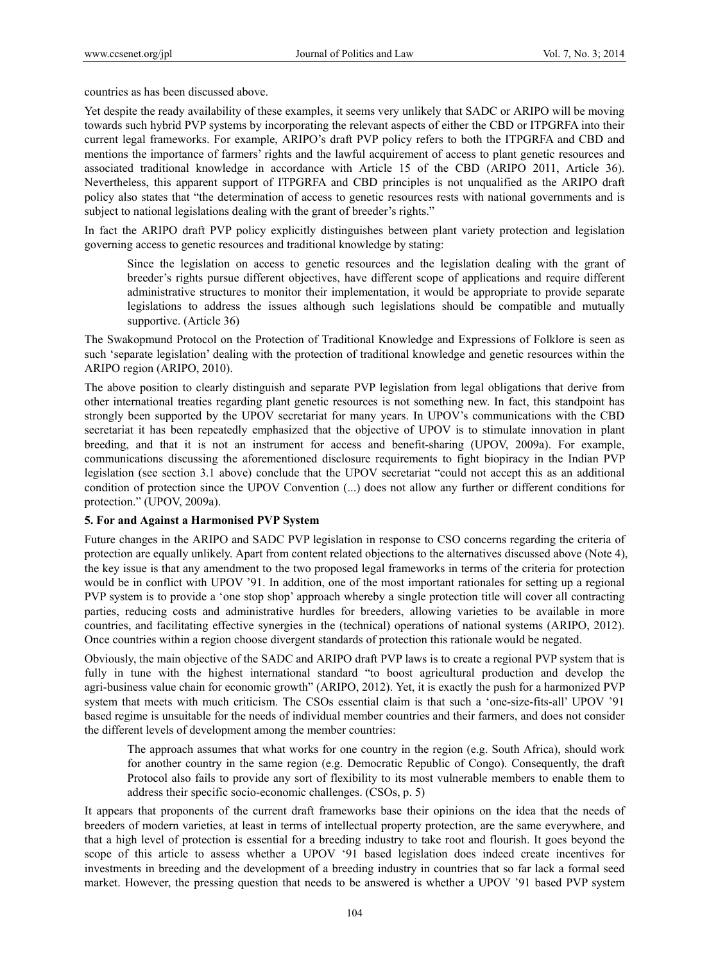countries as has been discussed above.

Yet despite the ready availability of these examples, it seems very unlikely that SADC or ARIPO will be moving towards such hybrid PVP systems by incorporating the relevant aspects of either the CBD or ITPGRFA into their current legal frameworks. For example, ARIPO's draft PVP policy refers to both the ITPGRFA and CBD and mentions the importance of farmers' rights and the lawful acquirement of access to plant genetic resources and associated traditional knowledge in accordance with Article 15 of the CBD (ARIPO 2011, Article 36). Nevertheless, this apparent support of ITPGRFA and CBD principles is not unqualified as the ARIPO draft policy also states that "the determination of access to genetic resources rests with national governments and is subject to national legislations dealing with the grant of breeder's rights."

In fact the ARIPO draft PVP policy explicitly distinguishes between plant variety protection and legislation governing access to genetic resources and traditional knowledge by stating:

Since the legislation on access to genetic resources and the legislation dealing with the grant of breeder's rights pursue different objectives, have different scope of applications and require different administrative structures to monitor their implementation, it would be appropriate to provide separate legislations to address the issues although such legislations should be compatible and mutually supportive. (Article 36)

The Swakopmund Protocol on the Protection of Traditional Knowledge and Expressions of Folklore is seen as such 'separate legislation' dealing with the protection of traditional knowledge and genetic resources within the ARIPO region (ARIPO, 2010).

The above position to clearly distinguish and separate PVP legislation from legal obligations that derive from other international treaties regarding plant genetic resources is not something new. In fact, this standpoint has strongly been supported by the UPOV secretariat for many years. In UPOV's communications with the CBD secretariat it has been repeatedly emphasized that the objective of UPOV is to stimulate innovation in plant breeding, and that it is not an instrument for access and benefit-sharing (UPOV, 2009a). For example, communications discussing the aforementioned disclosure requirements to fight biopiracy in the Indian PVP legislation (see section 3.1 above) conclude that the UPOV secretariat "could not accept this as an additional condition of protection since the UPOV Convention (...) does not allow any further or different conditions for protection." (UPOV, 2009a).

#### **5. For and Against a Harmonised PVP System**

Future changes in the ARIPO and SADC PVP legislation in response to CSO concerns regarding the criteria of protection are equally unlikely. Apart from content related objections to the alternatives discussed above (Note 4), the key issue is that any amendment to the two proposed legal frameworks in terms of the criteria for protection would be in conflict with UPOV '91. In addition, one of the most important rationales for setting up a regional PVP system is to provide a 'one stop shop' approach whereby a single protection title will cover all contracting parties, reducing costs and administrative hurdles for breeders, allowing varieties to be available in more countries, and facilitating effective synergies in the (technical) operations of national systems (ARIPO, 2012). Once countries within a region choose divergent standards of protection this rationale would be negated.

Obviously, the main objective of the SADC and ARIPO draft PVP laws is to create a regional PVP system that is fully in tune with the highest international standard "to boost agricultural production and develop the agri-business value chain for economic growth" (ARIPO, 2012). Yet, it is exactly the push for a harmonized PVP system that meets with much criticism. The CSOs essential claim is that such a 'one-size-fits-all' UPOV '91 based regime is unsuitable for the needs of individual member countries and their farmers, and does not consider the different levels of development among the member countries:

The approach assumes that what works for one country in the region (e.g. South Africa), should work for another country in the same region (e.g. Democratic Republic of Congo). Consequently, the draft Protocol also fails to provide any sort of flexibility to its most vulnerable members to enable them to address their specific socio-economic challenges. (CSOs, p. 5)

It appears that proponents of the current draft frameworks base their opinions on the idea that the needs of breeders of modern varieties, at least in terms of intellectual property protection, are the same everywhere, and that a high level of protection is essential for a breeding industry to take root and flourish. It goes beyond the scope of this article to assess whether a UPOV '91 based legislation does indeed create incentives for investments in breeding and the development of a breeding industry in countries that so far lack a formal seed market. However, the pressing question that needs to be answered is whether a UPOV '91 based PVP system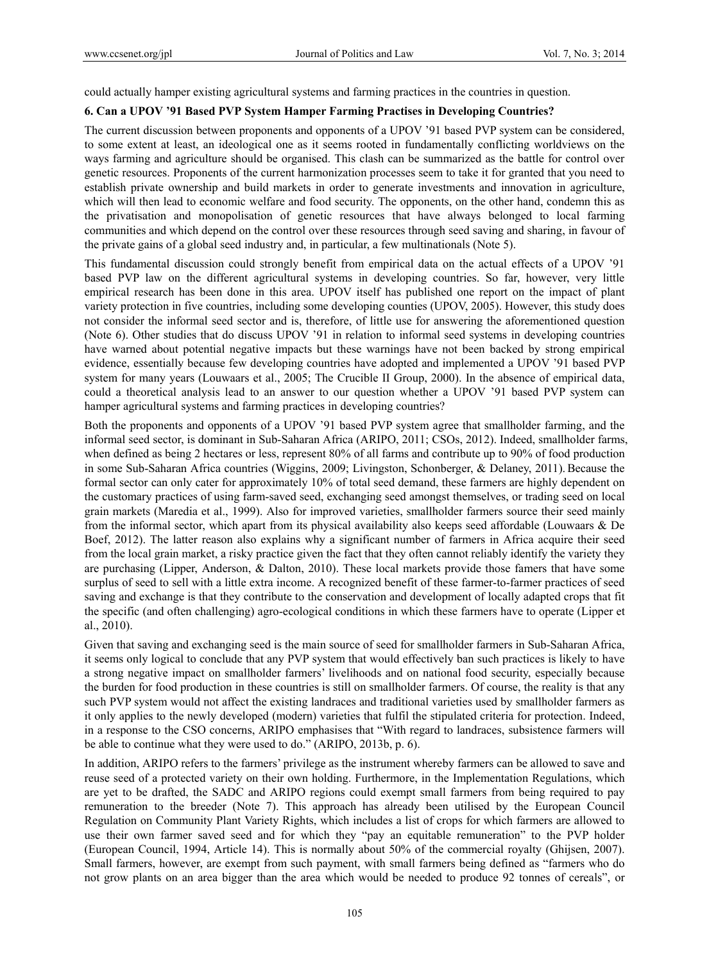could actually hamper existing agricultural systems and farming practices in the countries in question.

## **6. Can a UPOV '91 Based PVP System Hamper Farming Practises in Developing Countries?**

The current discussion between proponents and opponents of a UPOV '91 based PVP system can be considered, to some extent at least, an ideological one as it seems rooted in fundamentally conflicting worldviews on the ways farming and agriculture should be organised. This clash can be summarized as the battle for control over genetic resources. Proponents of the current harmonization processes seem to take it for granted that you need to establish private ownership and build markets in order to generate investments and innovation in agriculture, which will then lead to economic welfare and food security. The opponents, on the other hand, condemn this as the privatisation and monopolisation of genetic resources that have always belonged to local farming communities and which depend on the control over these resources through seed saving and sharing, in favour of the private gains of a global seed industry and, in particular, a few multinationals (Note 5).

This fundamental discussion could strongly benefit from empirical data on the actual effects of a UPOV '91 based PVP law on the different agricultural systems in developing countries. So far, however, very little empirical research has been done in this area. UPOV itself has published one report on the impact of plant variety protection in five countries, including some developing counties (UPOV, 2005). However, this study does not consider the informal seed sector and is, therefore, of little use for answering the aforementioned question (Note 6). Other studies that do discuss UPOV '91 in relation to informal seed systems in developing countries have warned about potential negative impacts but these warnings have not been backed by strong empirical evidence, essentially because few developing countries have adopted and implemented a UPOV '91 based PVP system for many years (Louwaars et al., 2005; The Crucible II Group, 2000). In the absence of empirical data, could a theoretical analysis lead to an answer to our question whether a UPOV '91 based PVP system can hamper agricultural systems and farming practices in developing countries?

Both the proponents and opponents of a UPOV '91 based PVP system agree that smallholder farming, and the informal seed sector, is dominant in Sub-Saharan Africa (ARIPO, 2011; CSOs, 2012). Indeed, smallholder farms, when defined as being 2 hectares or less, represent 80% of all farms and contribute up to 90% of food production in some Sub-Saharan Africa countries (Wiggins, 2009; Livingston, Schonberger, & Delaney, 2011).Because the formal sector can only cater for approximately 10% of total seed demand, these farmers are highly dependent on the customary practices of using farm-saved seed, exchanging seed amongst themselves, or trading seed on local grain markets (Maredia et al., 1999). Also for improved varieties, smallholder farmers source their seed mainly from the informal sector, which apart from its physical availability also keeps seed affordable (Louwaars & De Boef, 2012). The latter reason also explains why a significant number of farmers in Africa acquire their seed from the local grain market, a risky practice given the fact that they often cannot reliably identify the variety they are purchasing (Lipper, Anderson, & Dalton, 2010). These local markets provide those famers that have some surplus of seed to sell with a little extra income. A recognized benefit of these farmer-to-farmer practices of seed saving and exchange is that they contribute to the conservation and development of locally adapted crops that fit the specific (and often challenging) agro-ecological conditions in which these farmers have to operate (Lipper et al., 2010).

Given that saving and exchanging seed is the main source of seed for smallholder farmers in Sub-Saharan Africa, it seems only logical to conclude that any PVP system that would effectively ban such practices is likely to have a strong negative impact on smallholder farmers' livelihoods and on national food security, especially because the burden for food production in these countries is still on smallholder farmers. Of course, the reality is that any such PVP system would not affect the existing landraces and traditional varieties used by smallholder farmers as it only applies to the newly developed (modern) varieties that fulfil the stipulated criteria for protection. Indeed, in a response to the CSO concerns, ARIPO emphasises that "With regard to landraces, subsistence farmers will be able to continue what they were used to do." (ARIPO, 2013b, p. 6).

In addition, ARIPO refers to the farmers' privilege as the instrument whereby farmers can be allowed to save and reuse seed of a protected variety on their own holding. Furthermore, in the Implementation Regulations, which are yet to be drafted, the SADC and ARIPO regions could exempt small farmers from being required to pay remuneration to the breeder (Note 7). This approach has already been utilised by the European Council Regulation on Community Plant Variety Rights, which includes a list of crops for which farmers are allowed to use their own farmer saved seed and for which they "pay an equitable remuneration" to the PVP holder (European Council, 1994, Article 14). This is normally about 50% of the commercial royalty (Ghijsen, 2007). Small farmers, however, are exempt from such payment, with small farmers being defined as "farmers who do not grow plants on an area bigger than the area which would be needed to produce 92 tonnes of cereals", or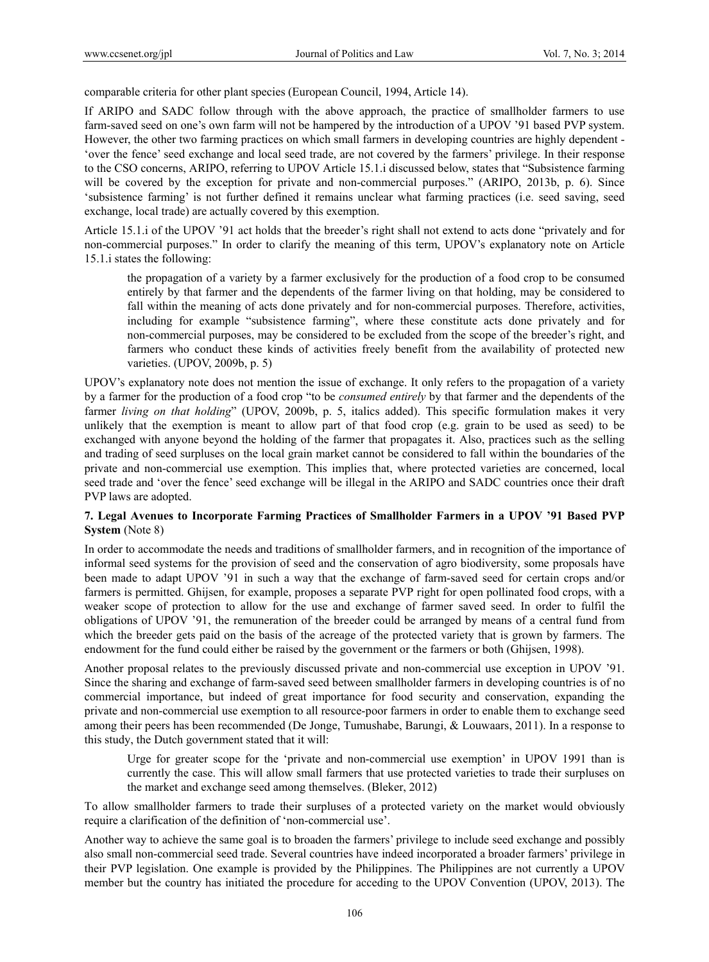comparable criteria for other plant species (European Council, 1994, Article 14).

If ARIPO and SADC follow through with the above approach, the practice of smallholder farmers to use farm-saved seed on one's own farm will not be hampered by the introduction of a UPOV '91 based PVP system. However, the other two farming practices on which small farmers in developing countries are highly dependent - 'over the fence' seed exchange and local seed trade, are not covered by the farmers' privilege. In their response to the CSO concerns, ARIPO, referring to UPOV Article 15.1.i discussed below, states that "Subsistence farming will be covered by the exception for private and non-commercial purposes." (ARIPO, 2013b, p. 6). Since 'subsistence farming' is not further defined it remains unclear what farming practices (i.e. seed saving, seed exchange, local trade) are actually covered by this exemption.

Article 15.1.i of the UPOV '91 act holds that the breeder's right shall not extend to acts done "privately and for non-commercial purposes." In order to clarify the meaning of this term, UPOV's explanatory note on Article 15.1.i states the following:

the propagation of a variety by a farmer exclusively for the production of a food crop to be consumed entirely by that farmer and the dependents of the farmer living on that holding, may be considered to fall within the meaning of acts done privately and for non-commercial purposes. Therefore, activities, including for example "subsistence farming", where these constitute acts done privately and for non-commercial purposes, may be considered to be excluded from the scope of the breeder's right, and farmers who conduct these kinds of activities freely benefit from the availability of protected new varieties. (UPOV, 2009b, p. 5)

UPOV's explanatory note does not mention the issue of exchange. It only refers to the propagation of a variety by a farmer for the production of a food crop "to be *consumed entirely* by that farmer and the dependents of the farmer *living on that holding*" (UPOV, 2009b, p. 5, italics added). This specific formulation makes it very unlikely that the exemption is meant to allow part of that food crop (e.g. grain to be used as seed) to be exchanged with anyone beyond the holding of the farmer that propagates it. Also, practices such as the selling and trading of seed surpluses on the local grain market cannot be considered to fall within the boundaries of the private and non-commercial use exemption. This implies that, where protected varieties are concerned, local seed trade and 'over the fence' seed exchange will be illegal in the ARIPO and SADC countries once their draft PVP laws are adopted.

## **7. Legal Avenues to Incorporate Farming Practices of Smallholder Farmers in a UPOV '91 Based PVP System** (Note 8)

In order to accommodate the needs and traditions of smallholder farmers, and in recognition of the importance of informal seed systems for the provision of seed and the conservation of agro biodiversity, some proposals have been made to adapt UPOV '91 in such a way that the exchange of farm-saved seed for certain crops and/or farmers is permitted. Ghijsen, for example, proposes a separate PVP right for open pollinated food crops, with a weaker scope of protection to allow for the use and exchange of farmer saved seed. In order to fulfil the obligations of UPOV '91, the remuneration of the breeder could be arranged by means of a central fund from which the breeder gets paid on the basis of the acreage of the protected variety that is grown by farmers. The endowment for the fund could either be raised by the government or the farmers or both (Ghijsen, 1998).

Another proposal relates to the previously discussed private and non-commercial use exception in UPOV '91. Since the sharing and exchange of farm-saved seed between smallholder farmers in developing countries is of no commercial importance, but indeed of great importance for food security and conservation, expanding the private and non-commercial use exemption to all resource-poor farmers in order to enable them to exchange seed among their peers has been recommended (De Jonge, Tumushabe, Barungi, & Louwaars, 2011). In a response to this study, the Dutch government stated that it will:

Urge for greater scope for the 'private and non-commercial use exemption' in UPOV 1991 than is currently the case. This will allow small farmers that use protected varieties to trade their surpluses on the market and exchange seed among themselves. (Bleker, 2012)

To allow smallholder farmers to trade their surpluses of a protected variety on the market would obviously require a clarification of the definition of 'non-commercial use'.

Another way to achieve the same goal is to broaden the farmers' privilege to include seed exchange and possibly also small non-commercial seed trade. Several countries have indeed incorporated a broader farmers' privilege in their PVP legislation. One example is provided by the Philippines. The Philippines are not currently a UPOV member but the country has initiated the procedure for acceding to the UPOV Convention (UPOV, 2013). The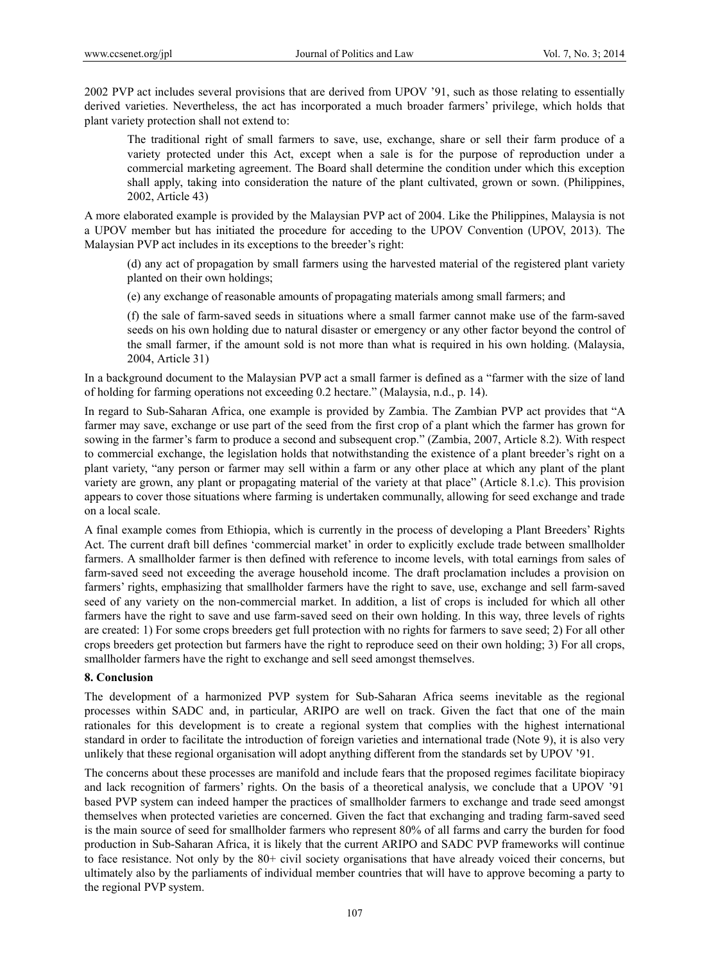2002 PVP act includes several provisions that are derived from UPOV '91, such as those relating to essentially derived varieties. Nevertheless, the act has incorporated a much broader farmers' privilege, which holds that plant variety protection shall not extend to:

The traditional right of small farmers to save, use, exchange, share or sell their farm produce of a variety protected under this Act, except when a sale is for the purpose of reproduction under a commercial marketing agreement. The Board shall determine the condition under which this exception shall apply, taking into consideration the nature of the plant cultivated, grown or sown. (Philippines, 2002, Article 43)

A more elaborated example is provided by the Malaysian PVP act of 2004. Like the Philippines, Malaysia is not a UPOV member but has initiated the procedure for acceding to the UPOV Convention (UPOV, 2013). The Malaysian PVP act includes in its exceptions to the breeder's right:

(d) any act of propagation by small farmers using the harvested material of the registered plant variety planted on their own holdings;

(e) any exchange of reasonable amounts of propagating materials among small farmers; and

(f) the sale of farm-saved seeds in situations where a small farmer cannot make use of the farm-saved seeds on his own holding due to natural disaster or emergency or any other factor beyond the control of the small farmer, if the amount sold is not more than what is required in his own holding. (Malaysia, 2004, Article 31)

In a background document to the Malaysian PVP act a small farmer is defined as a "farmer with the size of land of holding for farming operations not exceeding 0.2 hectare." (Malaysia, n.d., p. 14).

In regard to Sub-Saharan Africa, one example is provided by Zambia. The Zambian PVP act provides that "A farmer may save, exchange or use part of the seed from the first crop of a plant which the farmer has grown for sowing in the farmer's farm to produce a second and subsequent crop." (Zambia, 2007, Article 8.2). With respect to commercial exchange, the legislation holds that notwithstanding the existence of a plant breeder's right on a plant variety, "any person or farmer may sell within a farm or any other place at which any plant of the plant variety are grown, any plant or propagating material of the variety at that place" (Article 8.1.c). This provision appears to cover those situations where farming is undertaken communally, allowing for seed exchange and trade on a local scale.

A final example comes from Ethiopia, which is currently in the process of developing a Plant Breeders' Rights Act. The current draft bill defines 'commercial market' in order to explicitly exclude trade between smallholder farmers. A smallholder farmer is then defined with reference to income levels, with total earnings from sales of farm-saved seed not exceeding the average household income. The draft proclamation includes a provision on farmers' rights, emphasizing that smallholder farmers have the right to save, use, exchange and sell farm-saved seed of any variety on the non-commercial market. In addition, a list of crops is included for which all other farmers have the right to save and use farm-saved seed on their own holding. In this way, three levels of rights are created: 1) For some crops breeders get full protection with no rights for farmers to save seed; 2) For all other crops breeders get protection but farmers have the right to reproduce seed on their own holding; 3) For all crops, smallholder farmers have the right to exchange and sell seed amongst themselves.

## **8. Conclusion**

The development of a harmonized PVP system for Sub-Saharan Africa seems inevitable as the regional processes within SADC and, in particular, ARIPO are well on track. Given the fact that one of the main rationales for this development is to create a regional system that complies with the highest international standard in order to facilitate the introduction of foreign varieties and international trade (Note 9), it is also very unlikely that these regional organisation will adopt anything different from the standards set by UPOV '91.

The concerns about these processes are manifold and include fears that the proposed regimes facilitate biopiracy and lack recognition of farmers' rights. On the basis of a theoretical analysis, we conclude that a UPOV '91 based PVP system can indeed hamper the practices of smallholder farmers to exchange and trade seed amongst themselves when protected varieties are concerned. Given the fact that exchanging and trading farm-saved seed is the main source of seed for smallholder farmers who represent 80% of all farms and carry the burden for food production in Sub-Saharan Africa, it is likely that the current ARIPO and SADC PVP frameworks will continue to face resistance. Not only by the 80+ civil society organisations that have already voiced their concerns, but ultimately also by the parliaments of individual member countries that will have to approve becoming a party to the regional PVP system.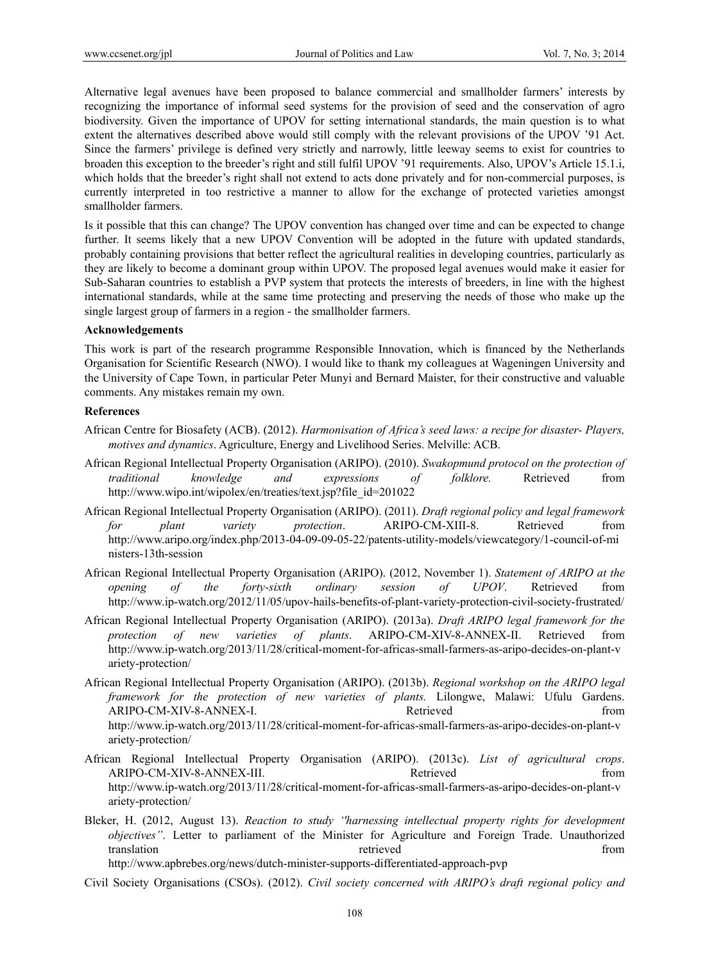Alternative legal avenues have been proposed to balance commercial and smallholder farmers' interests by recognizing the importance of informal seed systems for the provision of seed and the conservation of agro biodiversity. Given the importance of UPOV for setting international standards, the main question is to what extent the alternatives described above would still comply with the relevant provisions of the UPOV '91 Act. Since the farmers' privilege is defined very strictly and narrowly, little leeway seems to exist for countries to broaden this exception to the breeder's right and still fulfil UPOV '91 requirements. Also, UPOV's Article 15.1.i, which holds that the breeder's right shall not extend to acts done privately and for non-commercial purposes, is currently interpreted in too restrictive a manner to allow for the exchange of protected varieties amongst smallholder farmers.

Is it possible that this can change? The UPOV convention has changed over time and can be expected to change further. It seems likely that a new UPOV Convention will be adopted in the future with updated standards, probably containing provisions that better reflect the agricultural realities in developing countries, particularly as they are likely to become a dominant group within UPOV. The proposed legal avenues would make it easier for Sub-Saharan countries to establish a PVP system that protects the interests of breeders, in line with the highest international standards, while at the same time protecting and preserving the needs of those who make up the single largest group of farmers in a region - the smallholder farmers.

#### **Acknowledgements**

This work is part of the research programme Responsible Innovation, which is financed by the Netherlands Organisation for Scientific Research (NWO). I would like to thank my colleagues at Wageningen University and the University of Cape Town, in particular Peter Munyi and Bernard Maister, for their constructive and valuable comments. Any mistakes remain my own.

## **References**

- African Centre for Biosafety (ACB). (2012). *Harmonisation of Africa's seed laws: a recipe for disaster- Players, motives and dynamics*. Agriculture, Energy and Livelihood Series. Melville: ACB.
- African Regional Intellectual Property Organisation (ARIPO). (2010). *Swakopmund protocol on the protection of traditional knowledge and expressions of folklore.* Retrieved from http://www.wipo.int/wipolex/en/treaties/text.jsp?file\_id=201022
- African Regional Intellectual Property Organisation (ARIPO). (2011). *Draft regional policy and legal framework for plant variety protection*. ARIPO-CM-XIII-8. Retrieved from http://www.aripo.org/index.php/2013-04-09-09-05-22/patents-utility-models/viewcategory/1-council-of-mi nisters-13th-session
- African Regional Intellectual Property Organisation (ARIPO). (2012, November 1). *Statement of ARIPO at the opening of the forty-sixth ordinary session of UPOV*. Retrieved from http://www.ip-watch.org/2012/11/05/upov-hails-benefits-of-plant-variety-protection-civil-society-frustrated/
- African Regional Intellectual Property Organisation (ARIPO). (2013a). *Draft ARIPO legal framework for the protection of new varieties of plants*. ARIPO-CM-XIV-8-ANNEX-II. Retrieved from http://www.ip-watch.org/2013/11/28/critical-moment-for-africas-small-farmers-as-aripo-decides-on-plant-v ariety-protection/
- African Regional Intellectual Property Organisation (ARIPO). (2013b). *Regional workshop on the ARIPO legal framework for the protection of new varieties of plants.* Lilongwe, Malawi: Ufulu Gardens. ARIPO-CM-XIV-8-ANNEX-I. Retrieved from http://www.ip-watch.org/2013/11/28/critical-moment-for-africas-small-farmers-as-aripo-decides-on-plant-v ariety-protection/
- African Regional Intellectual Property Organisation (ARIPO). (2013c). *List of agricultural crops*. ARIPO-CM-XIV-8-ANNEX-III. Retrieved from http://www.ip-watch.org/2013/11/28/critical-moment-for-africas-small-farmers-as-aripo-decides-on-plant-v ariety-protection/
- Bleker, H. (2012, August 13). *Reaction to study ''harnessing intellectual property rights for development objectives"*. Letter to parliament of the Minister for Agriculture and Foreign Trade. Unauthorized translation retrieved from the state of the state of the state of the state of the state of the state of the state of the state of the state of the state of the state of the state of the state of the state of the state of http://www.apbrebes.org/news/dutch-minister-supports-differentiated-approach-pvp

Civil Society Organisations (CSOs). (2012). *Civil society concerned with ARIPO's draft regional policy and*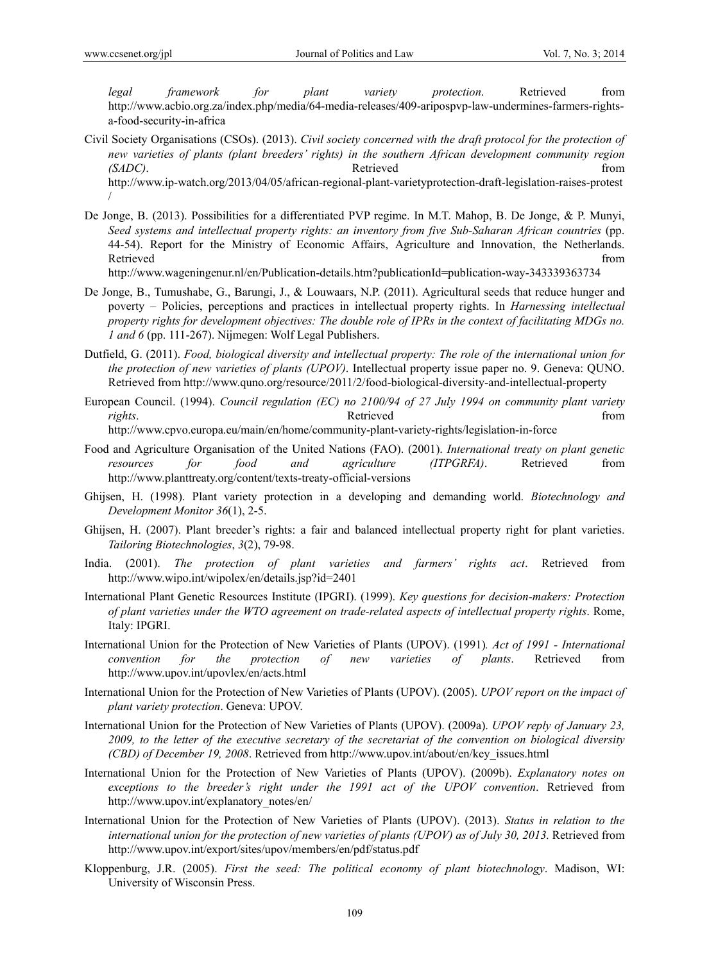*legal framework for plant variety protection*. Retrieved from http://www.acbio.org.za/index.php/media/64-media-releases/409-aripospvp-law-undermines-farmers-rightsa-food-security-in-africa

- Civil Society Organisations (CSOs). (2013). *Civil society concerned with the draft protocol for the protection of new varieties of plants (plant breeders' rights) in the southern African development community region (SADC)*. Retrieved from http://www.ip-watch.org/2013/04/05/african-regional-plant-varietyprotection-draft-legislation-raises-protest /
- De Jonge, B. (2013). Possibilities for a differentiated PVP regime. In M.T. Mahop, B. De Jonge, & P. Munyi, *Seed systems and intellectual property rights: an inventory from five Sub-Saharan African countries* (pp. 44-54). Report for the Ministry of Economic Affairs, Agriculture and Innovation, the Netherlands. Retrieved that the contract of the contract of the contract of the contract of the contract of the contract of the contract of the contract of the contract of the contract of the contract of the contract of the contract of

http://www.wageningenur.nl/en/Publication-details.htm?publicationId=publication-way-343339363734

- De Jonge, B., Tumushabe, G., Barungi, J., & Louwaars, N.P. (2011). Agricultural seeds that reduce hunger and poverty – Policies, perceptions and practices in intellectual property rights. In *Harnessing intellectual property rights for development objectives: The double role of IPRs in the context of facilitating MDGs no. 1 and 6* (pp. 111-267). Nijmegen: Wolf Legal Publishers.
- Dutfield, G. (2011). *Food, biological diversity and intellectual property: The role of the international union for the protection of new varieties of plants (UPOV)*. Intellectual property issue paper no. 9. Geneva: QUNO. Retrieved from http://www.quno.org/resource/2011/2/food-biological-diversity-and-intellectual-property
- European Council. (1994). *Council regulation (EC) no 2100/94 of 27 July 1994 on community plant variety rights*. The rights of the rights of the rights of the rights of the rights of the rights of the rights of the rights of the rights of the rights of the rights of the rights of the rights of the rights of the rights of th http://www.cpvo.europa.eu/main/en/home/community-plant-variety-rights/legislation-in-force
- Food and Agriculture Organisation of the United Nations (FAO). (2001). *International treaty on plant genetic resources for food and agriculture (ITPGRFA)*. Retrieved from http://www.planttreaty.org/content/texts-treaty-official-versions
- Ghijsen, H. (1998). Plant variety protection in a developing and demanding world. *Biotechnology and Development Monitor 36*(1), 2-5.
- Ghijsen, H. (2007). Plant breeder's rights: a fair and balanced intellectual property right for plant varieties. *Tailoring Biotechnologies*, *3*(2), 79-98.
- India. (2001). *The protection of plant varieties and farmers' rights act*. Retrieved from http://www.wipo.int/wipolex/en/details.jsp?id=2401
- International Plant Genetic Resources Institute (IPGRI). (1999). *Key questions for decision-makers: Protection of plant varieties under the WTO agreement on trade-related aspects of intellectual property rights*. Rome, Italy: IPGRI.
- International Union for the Protection of New Varieties of Plants (UPOV). (1991)*. Act of 1991 International convention for the protection of new varieties of plants*. Retrieved from http://www.upov.int/upovlex/en/acts.html
- International Union for the Protection of New Varieties of Plants (UPOV). (2005). *UPOV report on the impact of plant variety protection*. Geneva: UPOV.
- International Union for the Protection of New Varieties of Plants (UPOV). (2009a). *UPOV reply of January 23, 2009, to the letter of the executive secretary of the secretariat of the convention on biological diversity (CBD) of December 19, 2008*. Retrieved from http://www.upov.int/about/en/key\_issues.html
- International Union for the Protection of New Varieties of Plants (UPOV). (2009b). *Explanatory notes on exceptions to the breeder's right under the 1991 act of the UPOV convention*. Retrieved from http://www.upov.int/explanatory\_notes/en/
- International Union for the Protection of New Varieties of Plants (UPOV). (2013). *Status in relation to the international union for the protection of new varieties of plants (UPOV) as of July 30, 2013*. Retrieved from http://www.upov.int/export/sites/upov/members/en/pdf/status.pdf
- Kloppenburg, J.R. (2005). *First the seed: The political economy of plant biotechnology*. Madison, WI: University of Wisconsin Press.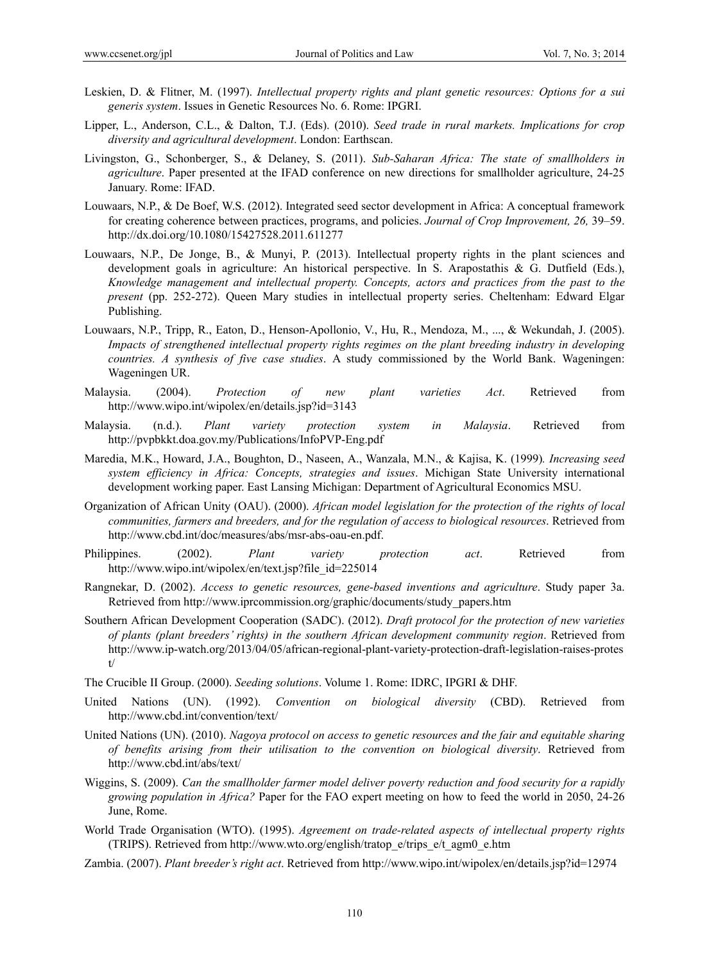- Leskien, D. & Flitner, M. (1997). *Intellectual property rights and plant genetic resources: Options for a sui generis system*. Issues in Genetic Resources No. 6. Rome: IPGRI.
- Lipper, L., Anderson, C.L., & Dalton, T.J. (Eds). (2010). *Seed trade in rural markets. Implications for crop diversity and agricultural development*. London: Earthscan.
- Livingston, G., Schonberger, S., & Delaney, S. (2011). *Sub-Saharan Africa: The state of smallholders in agriculture*. Paper presented at the IFAD conference on new directions for smallholder agriculture, 24-25 January. Rome: IFAD.
- Louwaars, N.P., & De Boef, W.S. (2012). Integrated seed sector development in Africa: A conceptual framework for creating coherence between practices, programs, and policies. *Journal of Crop Improvement, 26,* 39–59. http://dx.doi.org/10.1080/15427528.2011.611277
- Louwaars, N.P., De Jonge, B., & Munyi, P. (2013). Intellectual property rights in the plant sciences and development goals in agriculture: An historical perspective. In S. Arapostathis & G. Dutfield (Eds.), *Knowledge management and intellectual property. Concepts, actors and practices from the past to the present* (pp. 252-272). Queen Mary studies in intellectual property series. Cheltenham: Edward Elgar Publishing.
- Louwaars, N.P., Tripp, R., Eaton, D., Henson-Apollonio, V., Hu, R., Mendoza, M., ..., & Wekundah, J. (2005). *Impacts of strengthened intellectual property rights regimes on the plant breeding industry in developing countries. A synthesis of five case studies*. A study commissioned by the World Bank. Wageningen: Wageningen UR.
- Malaysia. (2004). *Protection of new plant varieties Act*. Retrieved from http://www.wipo.int/wipolex/en/details.jsp?id=3143
- Malaysia. (n.d.). *Plant variety protection system in Malaysia*. Retrieved from http://pvpbkkt.doa.gov.my/Publications/InfoPVP-Eng.pdf
- Maredia, M.K., Howard, J.A., Boughton, D., Naseen, A., Wanzala, M.N., & Kajisa, K. (1999)*. Increasing seed system efficiency in Africa: Concepts, strategies and issues*. Michigan State University international development working paper. East Lansing Michigan: Department of Agricultural Economics MSU.
- Organization of African Unity (OAU). (2000). *African model legislation for the protection of the rights of local communities, farmers and breeders, and for the regulation of access to biological resources*. Retrieved from http://www.cbd.int/doc/measures/abs/msr-abs-oau-en.pdf.
- Philippines. (2002). *Plant variety protection act*. Retrieved from http://www.wipo.int/wipolex/en/text.jsp?file\_id=225014
- Rangnekar, D. (2002). *Access to genetic resources, gene-based inventions and agriculture*. Study paper 3a. Retrieved from http://www.iprcommission.org/graphic/documents/study\_papers.htm
- Southern African Development Cooperation (SADC). (2012). *Draft protocol for the protection of new varieties of plants (plant breeders' rights) in the southern African development community region*. Retrieved from http://www.ip-watch.org/2013/04/05/african-regional-plant-variety-protection-draft-legislation-raises-protes t/
- The Crucible II Group. (2000). *Seeding solutions*. Volume 1. Rome: IDRC, IPGRI & DHF.
- United Nations (UN). (1992). *Convention on biological diversity* (CBD). Retrieved from http://www.cbd.int/convention/text/
- United Nations (UN). (2010). *Nagoya protocol on access to genetic resources and the fair and equitable sharing of benefits arising from their utilisation to the convention on biological diversity*. Retrieved from http://www.cbd.int/abs/text/
- Wiggins, S. (2009). *Can the smallholder farmer model deliver poverty reduction and food security for a rapidly growing population in Africa?* Paper for the FAO expert meeting on how to feed the world in 2050, 24-26 June, Rome.
- World Trade Organisation (WTO). (1995). *Agreement on trade-related aspects of intellectual property rights* (TRIPS). Retrieved from http://www.wto.org/english/tratop\_e/trips\_e/t\_agm0\_e.htm
- Zambia. (2007). *Plant breeder's right act*. Retrieved from http://www.wipo.int/wipolex/en/details.jsp?id=12974